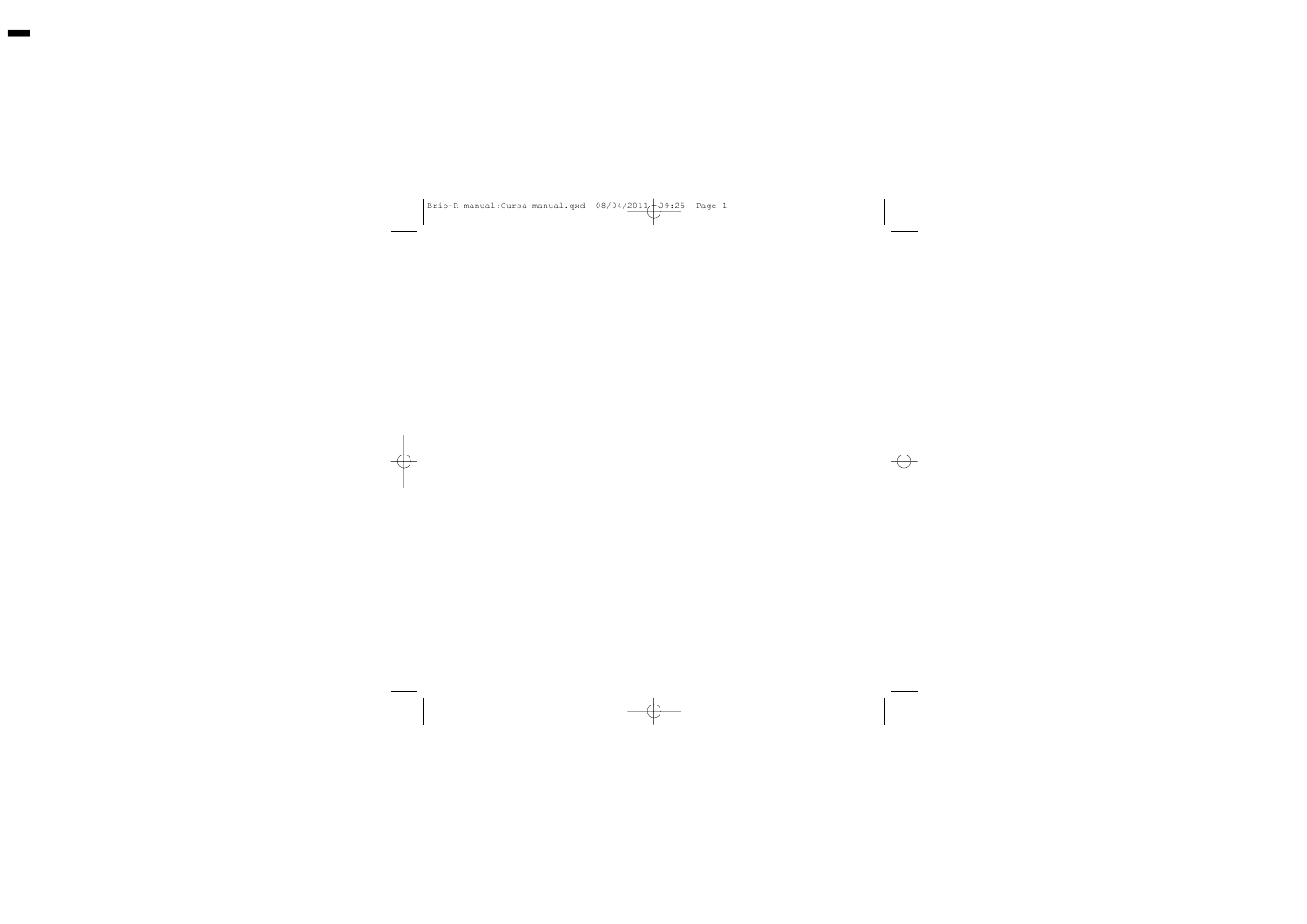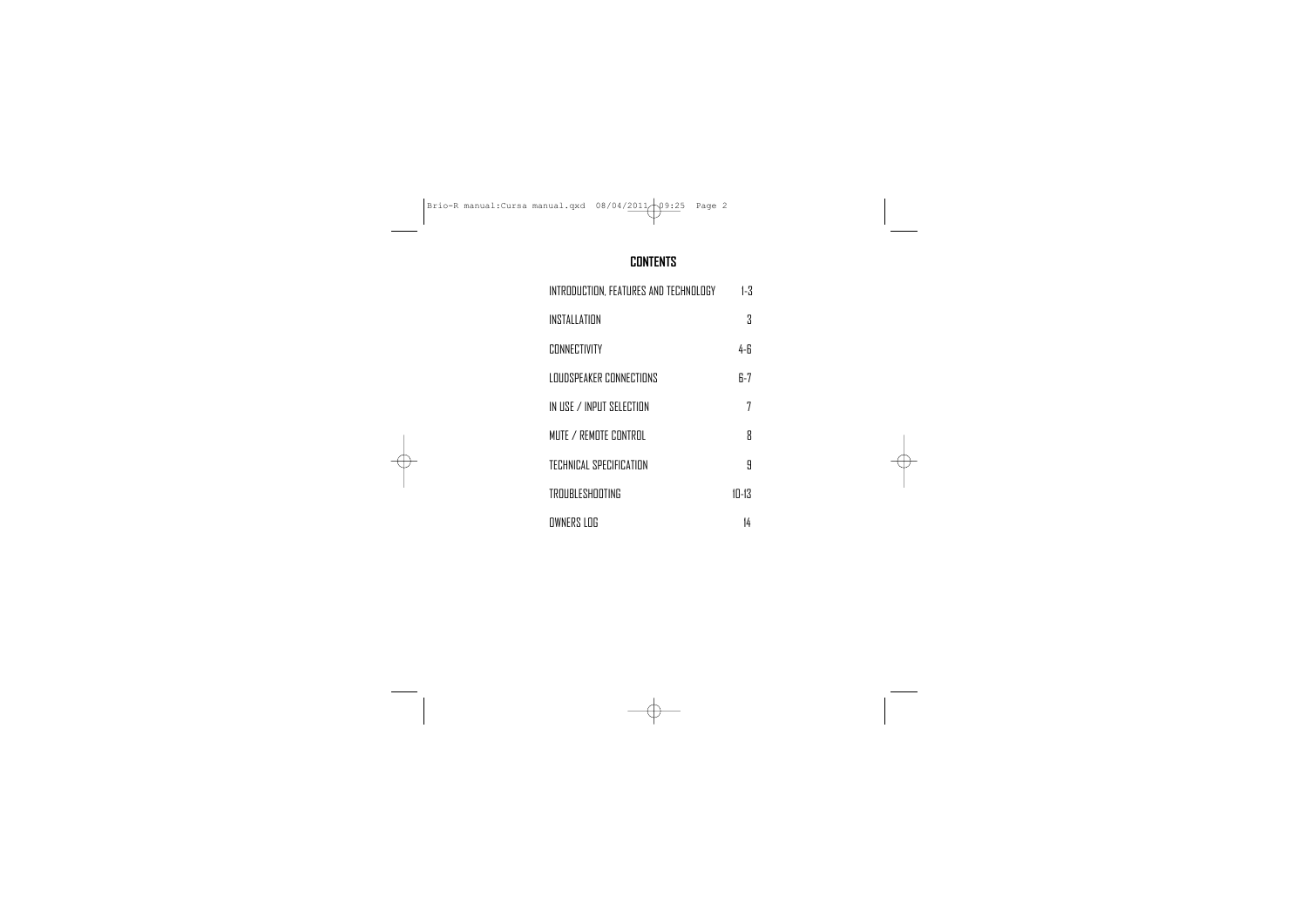## **CONTENTS**

| INTRODUCTION, FEATURES AND TECHNOLOGY | 1-3       |
|---------------------------------------|-----------|
| INSTALLATION                          | 3         |
| CONNECTIVITY                          | 4-R       |
| LOUDSPEAKER CONNECTIONS               | $B-7$     |
| IN USE / INPUT SELECTION              | 7         |
| MUTE / REMOTE CONTROL                 | Я         |
| TECHNICAL SPECIFICATION               | 9         |
| <b>TROUBLESHOOTING</b>                | $10 - 13$ |
| OWNERS LOG                            | 14        |

€

 $\rightarrow$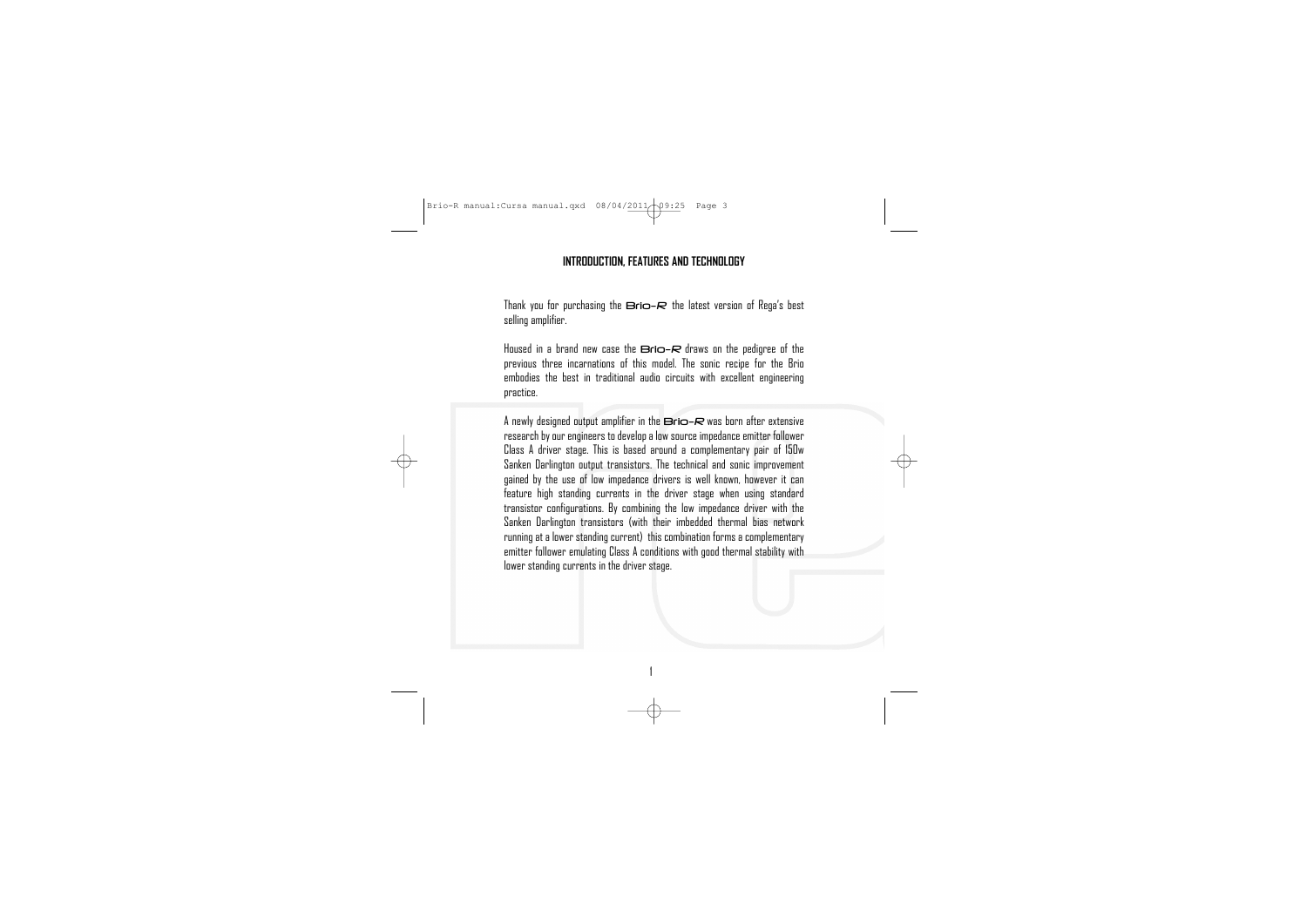#### **INTRODUCTION, FEATURES AND TECHNOLOGY**

Thank you for purchasing the **Brio-R** the latest version of Rega's best<br>--<sup>11:</sup>-- ----<sup>1:6:</sup>-selling amplifier.

Housed in a brand new case the Brio-R draws on the pedigree of the previous three incarnations of this model. The sonic recipe for the Brio embodies the best in traditional audio circuits with excellent engineeringpractice.

A newly designed output amplifier in the Brio-R was born after extensive research by our engineers to develop a low source impedance emitter follower Class A driver stage. This is based around a complementary pair of 150w Sanken Darlington output transistors. The technical and sonic improvement gained by the use of low impedance drivers is well known, however it can feature high standing currents in the driver stage when using standard transistor configurations. By combining the low impedance driver with the Sanken Darlington transistors (with their imbedded thermal bias network running at a lower standing current) this combination forms a complementary emitter follower emulating Class A conditions with good thermal stability withlower standing currents in the driver stage.

1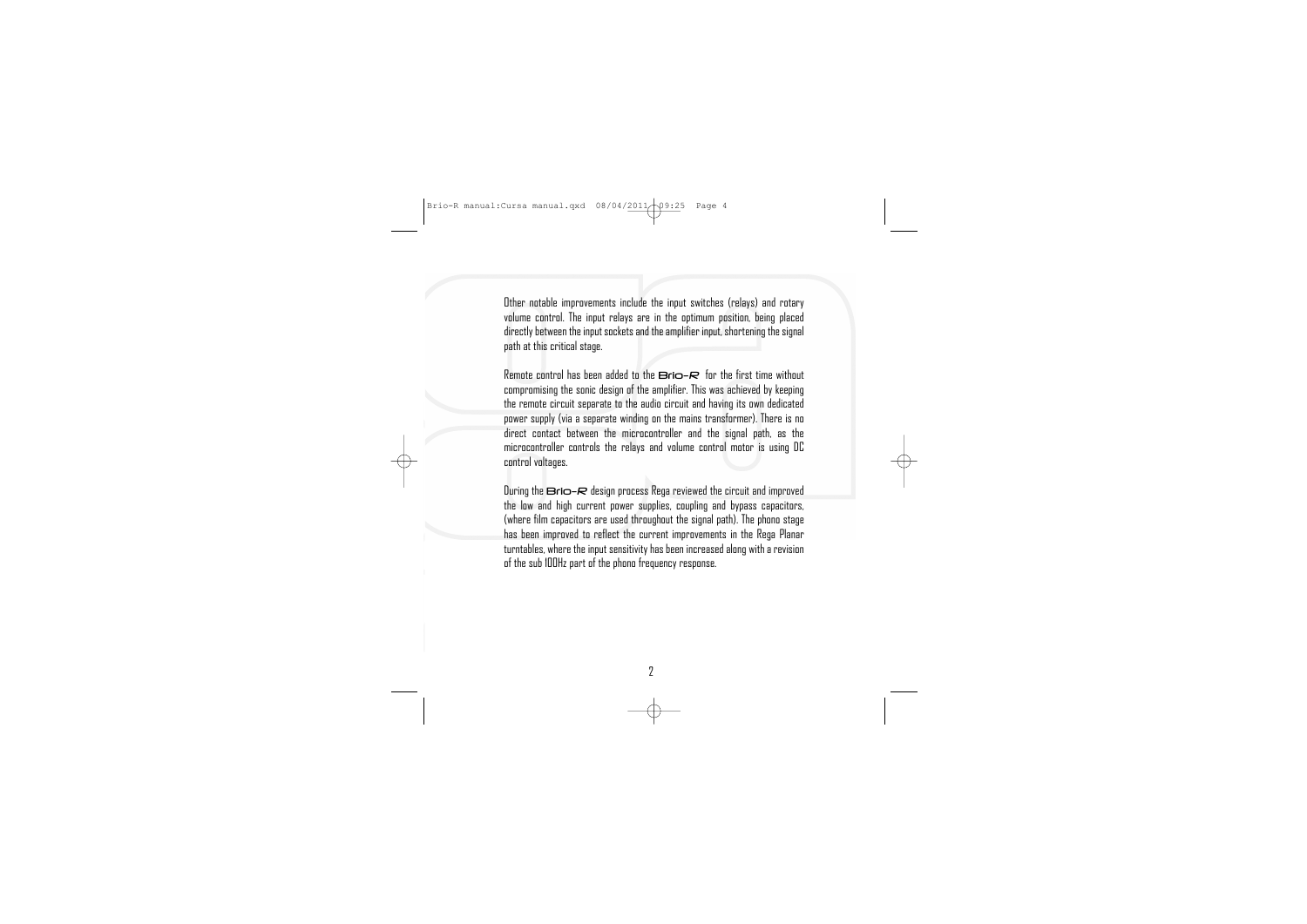Other notable improvements include the input switches (relays) and rotary volume control. The input relays are in the optimum position, being placed directly between the input sockets and the amplifier input, shortening the signal path at this critical stage.

Remote control has been added to the **Brio-R** for the first time without<br>componentates the senie design of the amalifies. This was sekinved by location compromising the sonic design of the amplifier. This was achieved by keeping the remote circuit separate to the audio circuit and having its own dedicated power supply (via a separate winding on the mains transformer). There is no direct contact between the microcontroller and the signal path, as the microcontroller controls the relays and volume control motor is using DCcontrol voltages.

During the  $B$ rio- $R$  design process Rega reviewed the circuit and improved the low and high current power supplies, coupling and bypass capacitors, (where film capacitors are used throughout the signal path). The phono stage has been improved to reflect the current improvements in the Rega Planar turntables, where the input sensitivity has been increased along with a revisionof the sub 100Hz part of the phono frequency response.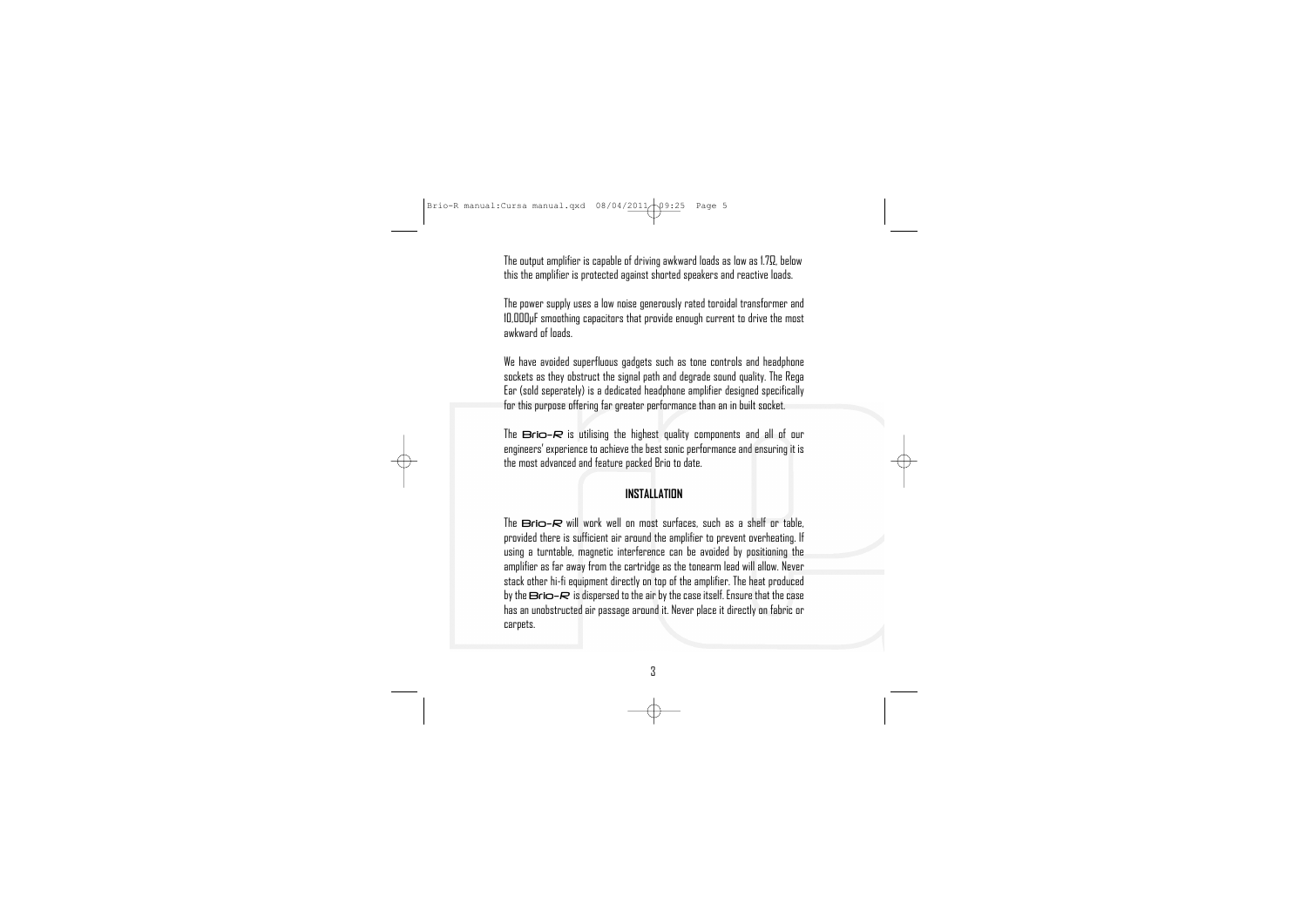The output amplifier is capable of driving awkward loads as low as 1.7Ω, belowthis the amplifier is protected against shorted speakers and reactive loads.

The power supply uses a low noise generously rated toroidal transformer and 10,000µF smoothing capacitors that provide enough current to drive the mostawkward of loads.

We have avoided superfluous gadgets such as tone controls and headphone sockets as they obstruct the signal path and degrade sound quality. The Rega Ear (sold seperately) is a dedicated headphone amplifier designed specificallyfor this purpose offering far greater performance than an in built socket.

The Brio-R is utilising the highest quality components and all of our engineers' experience to achieve the best sonic performance and ensuring it isthe most advanced and feature packed Brio to date.

#### **INSTALLATION**

The Brio-R will work well on most surfaces, such as a shelf or table, provided there is sufficient air around the amplifier to prevent overheating. Ifusing a turntable, magnetic interference can be avoided by positioning the amplifier as far away from the cartridge as the tonearm lead will allow. Never stack other hi-fi equipment directly on top of the amplifier. The heat producedby the **Brio-R** is dispersed to the air by the case itself. Ensure that the case<br>has an unchattured air seconds acquired it. Nouse also: it dispetly as fabric as has an unobstructed air passage around it. Never place it directly on fabric orcarpets.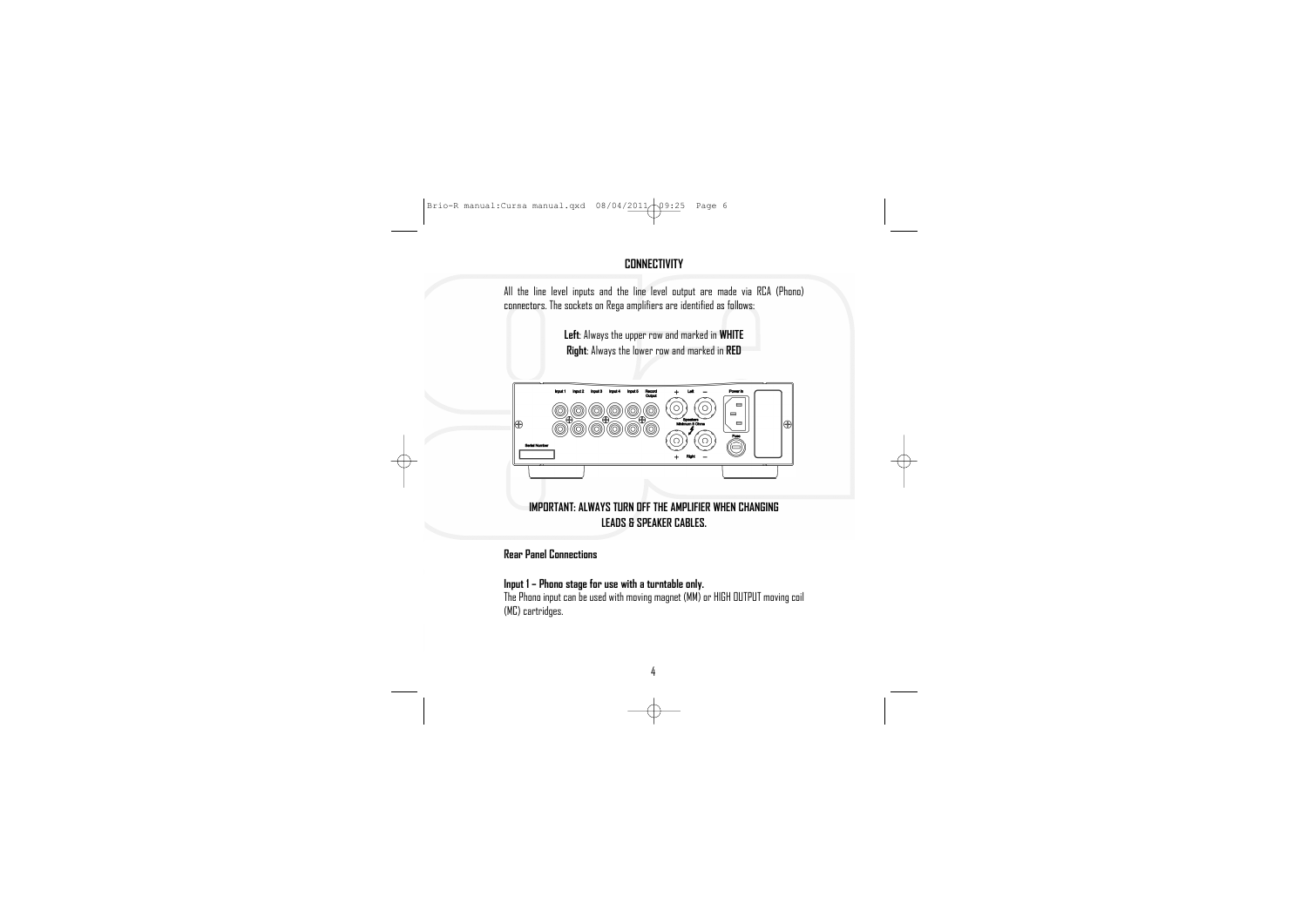#### **CONNECTIVITY**

All the line level inputs and the line level output are made via RCA (Phono)connectors. The sockets on Rega amplifiers are identified as follows:

> **Left**: Always the upper row and marked in **WHITERight**: Always the lower row and marked in **RED**



#### **IMPORTANT: ALWAYS TURN OFF THE AMPLIFIER WHEN CHANGING LEADS & SPEAKER CABLES.**

#### **Rear Panel Connections**

#### **Input 1 – Phono stage for use with a turntable only.**

The Phono input can be used with moving magnet (MM) or HIGH OUTPUT moving coil (MC) cartridges.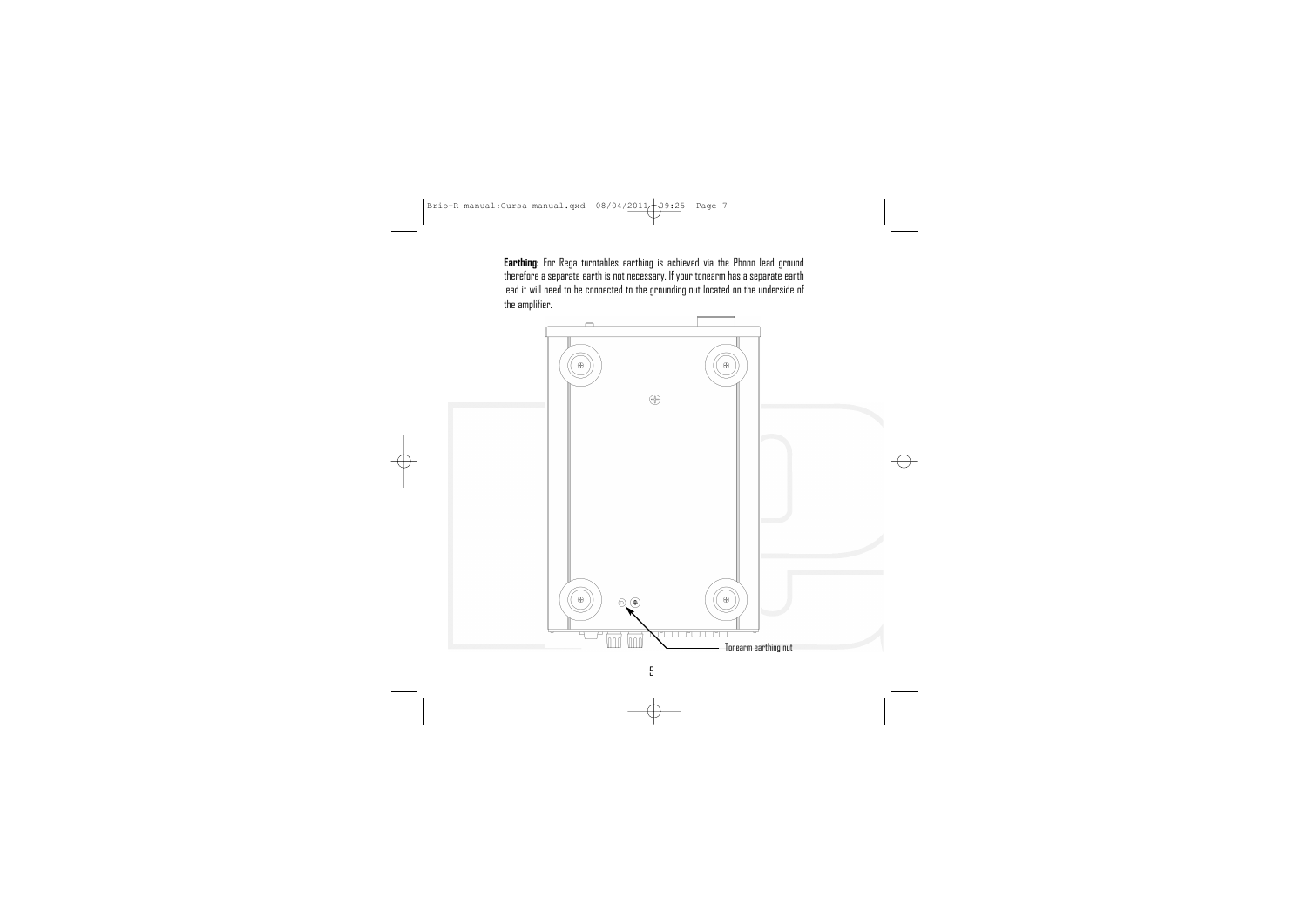**Earthing:** For Rega turntables earthing is achieved via the Phono lead ground therefore a separate earth is not necessary. If your tonearm has a separate earth lead it will need to be connected to the grounding nut located on the underside ofthe amplifier.

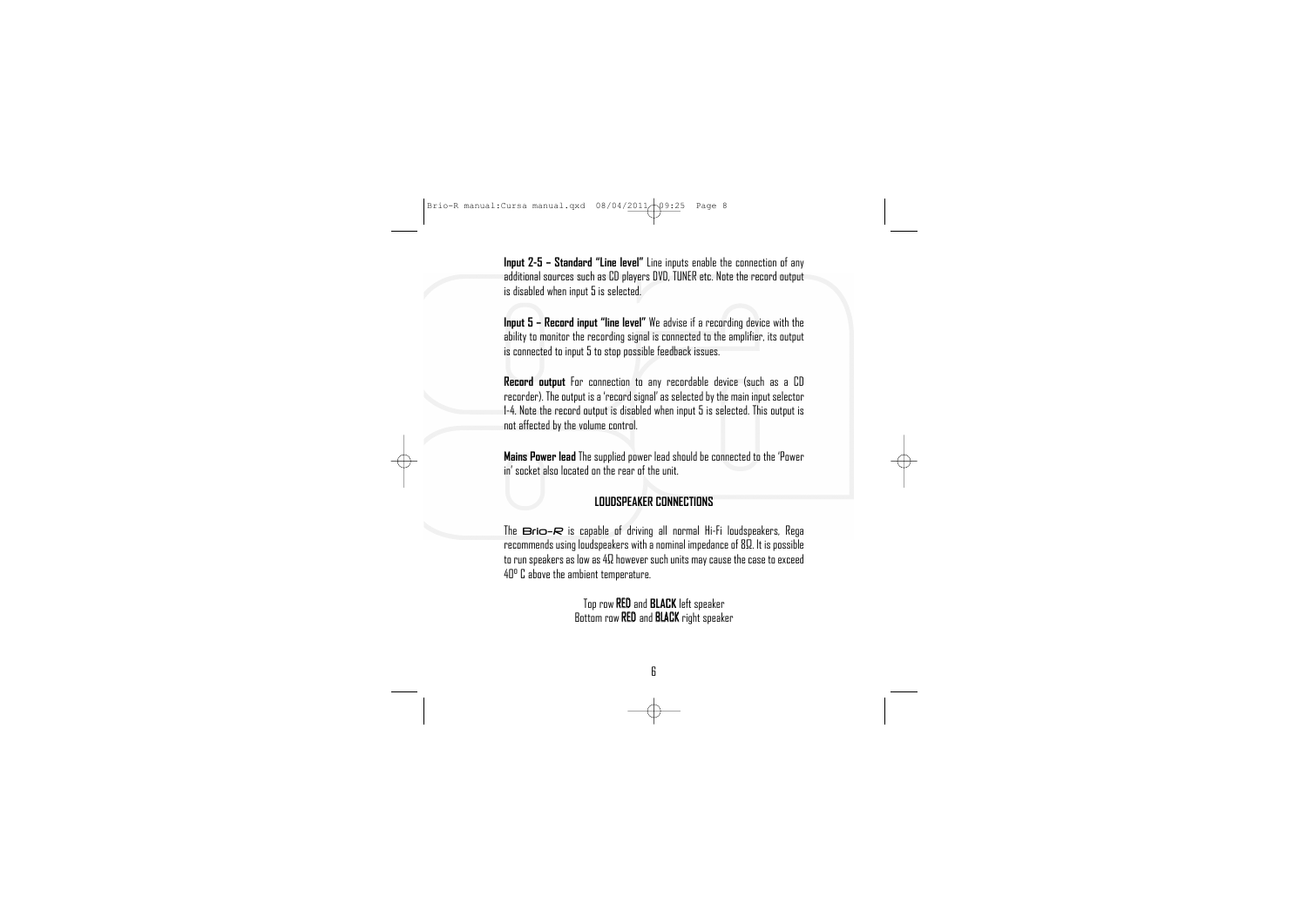**Input 2-5 – Standard "Line level"** Line inputs enable the connection of any additional sources such as CD players DVD, TUNER etc. Note the record outputis disabled when input 5 is selected.

**Input 5 – Record input "line level"** We advise if a recording device with the ability to monitor the recording signal is connected to the amplifier, its outputis connected to input 5 to stop possible feedback issues.

**Record output** For connection to any recordable device (such as a CD recorder). The output is a 'record signal' as selected by the main input selector 1-4. Note the record output is disabled when input 5 is selected. This output isnot affected by the volume control.

**Mains Power lead** The supplied power lead should be connected to the 'Powerin' socket also located on the rear of the unit.

## **LOUDSPEAKER CONNECTIONS**

The Brio-R is capable of driving all normal Hi-Fi loudspeakers, Rega recommends using loudspeakers with a nominal impedance of 8Ω. It is possibleto run speakers as low as 4Ω however such units may cause the case to exceed<br>40º C above the ambient temperature 40° C above the ambient temperature.

> Top row **RED** and **BLACK** left speaker Bottom row <mark>RED</mark> and **BLACK** right speaker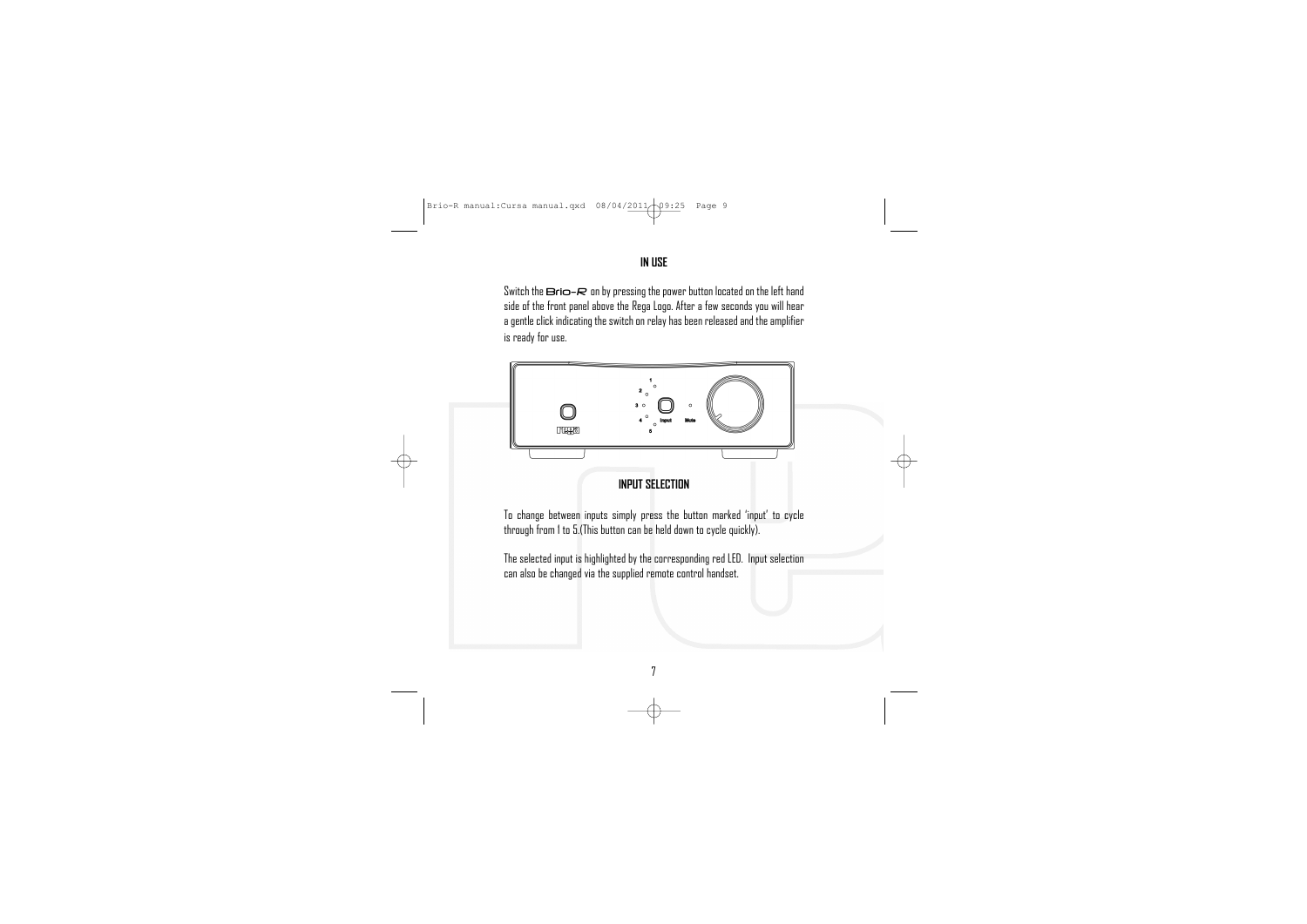## **IN USE**

Switch the Brio-R on by pressing the power button located on the left hand side of the front panel above the Rega Logo. After a few seconds you will hear a gentle click indicating the switch on relay has been released and the amplifieris ready for use.



## **INPUT SELECTION**

To change between inputs simply press the button marked 'input' to cyclethrough from 1 to 5.(This button can be held down to cycle quickly).

The selected input is highlighted by the corresponding red LED. Input selectioncan also be changed via the supplied remote control handset.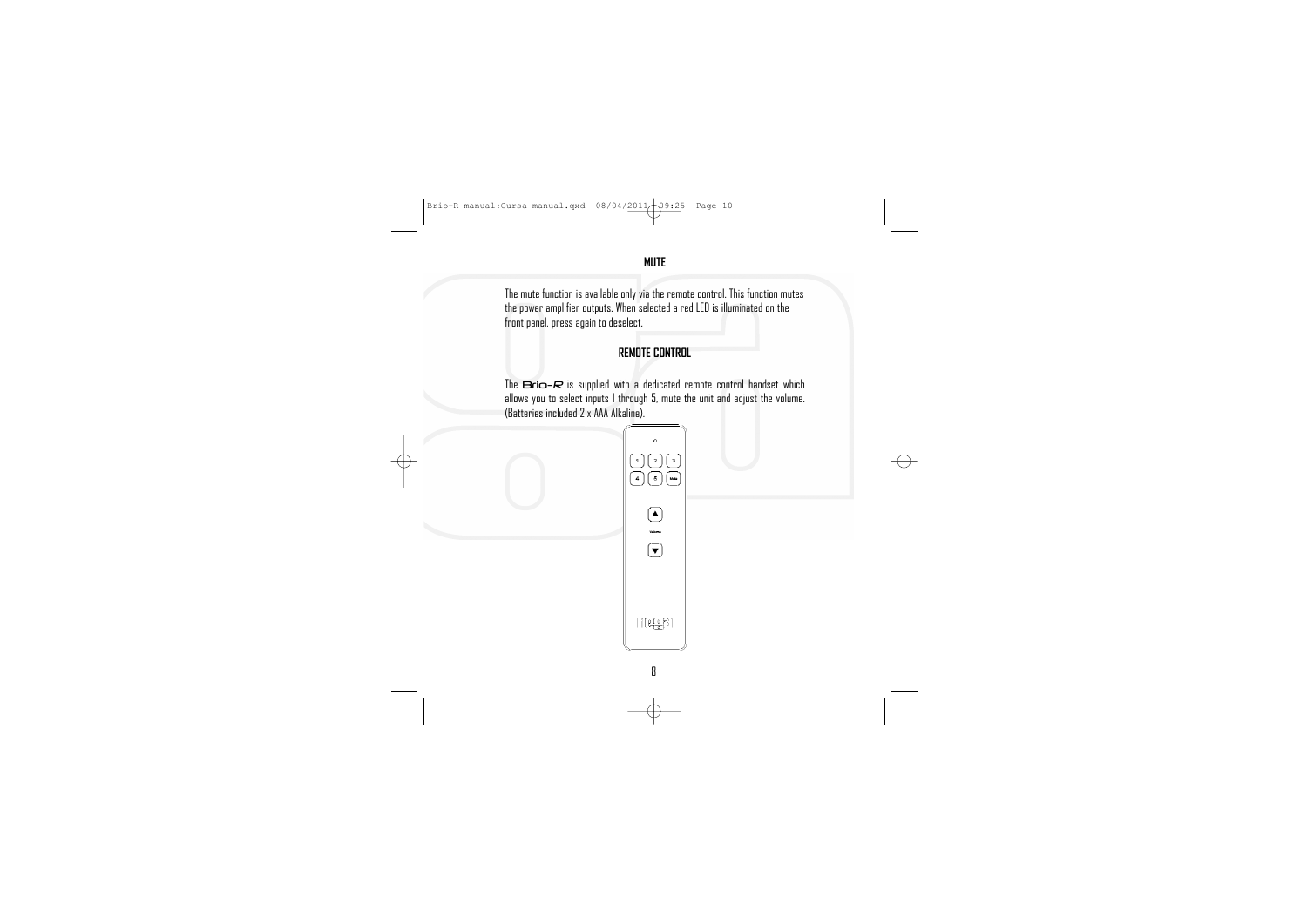The mute function is available only via the remote control. This function mutesthe power amplifier outputs. When selected a red LED is illuminated on thefront panel, press again to deselect.

#### **REMOTE CONTROL**

The Brio-R is supplied with a dedicated remote control handset which allows you to select inputs 1 through 5, mute the unit and adjust the volume. (Batteries included 2 x AAA Alkaline).

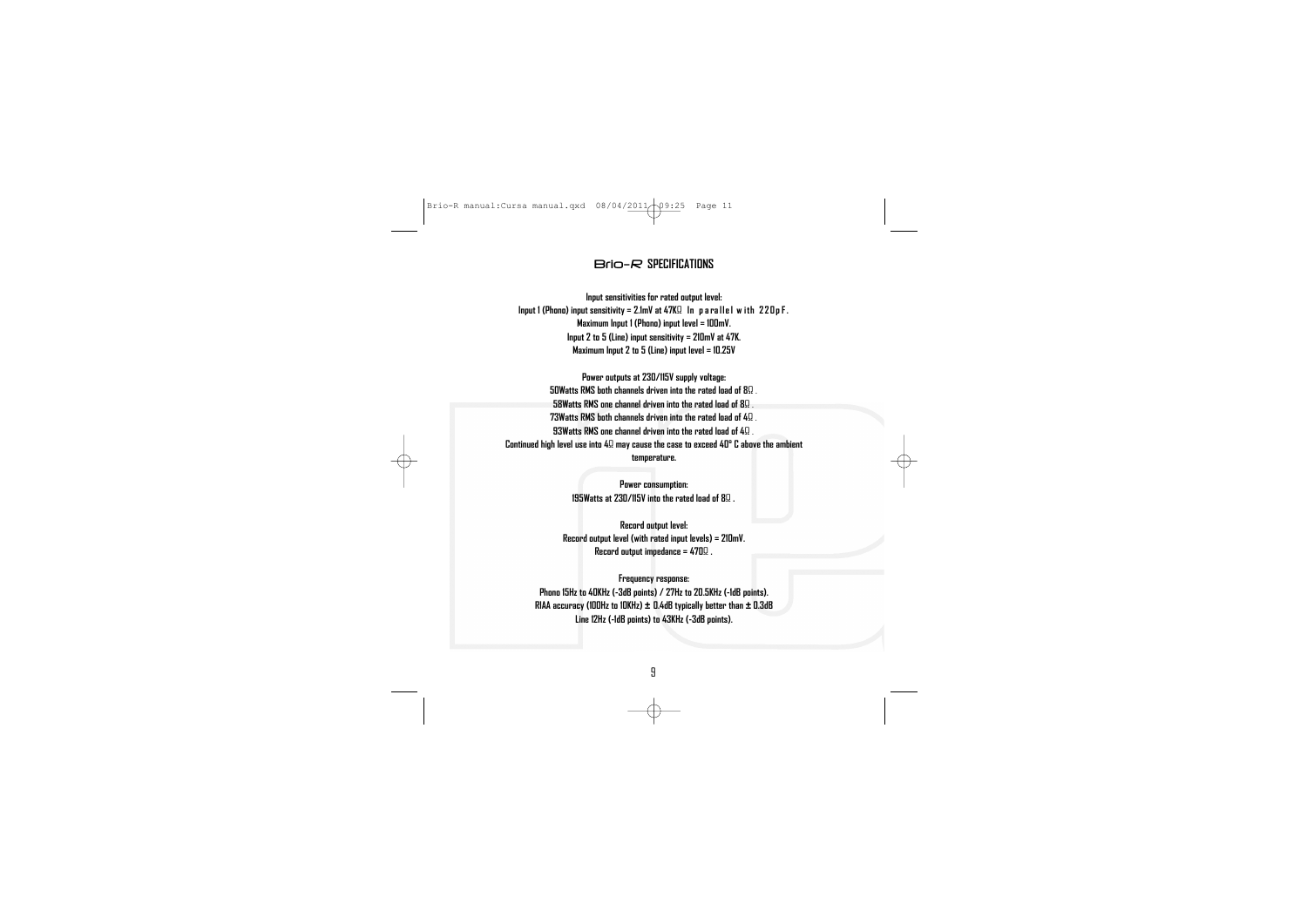# Brio-R **SPECIFICATIONS**

**Input sensitivities for rated output level:**

Input 1 (Phono) input sensitivity = 2.1mV at 47K $\Omega$  In  $\,$  p a rallel w ith 220p F. **Maximum Input 1 (Phono) input level = 100mV.Input 2 to 5 (Line) input sensitivity = 210mV at 47K.Maximum Input 2 to 5 (Line) input level = 10.25V**

**Power outputs at 230/115V supply voltage:50Watts RMS both channels driven into the rated load of 8**<sup>Ω</sup> . **58Watts RMS one channel driven into the rated load of 8**<sup>Ω</sup> . **73Watts RMS both channels driven into the rated load of 4**<sup>Ω</sup> . **93Watts RMS one channel driven into the rated load of 4**<sup>Ω</sup> . **Continued high level use into 4**Ω **may cause the case to exceed 40° C above the ambient temperature.**

> **Power consumption:195Watts at 230/115V into the rated load of 8**Ω**.**

**Record output level:Record output level (with rated input levels) = 210mV.Record output impedance = 470**Ω **.**

**Frequency response:**

**Phono 15Hz to 40KHz (-3dB points) / 27Hz to 20.5KHz (-1dB points).RIAA accuracy (100Hz to 10KHz) ± 0.4dB typically better than ± 0.3dB Line 12Hz (-1dB points) to 43KHz (-3dB points).**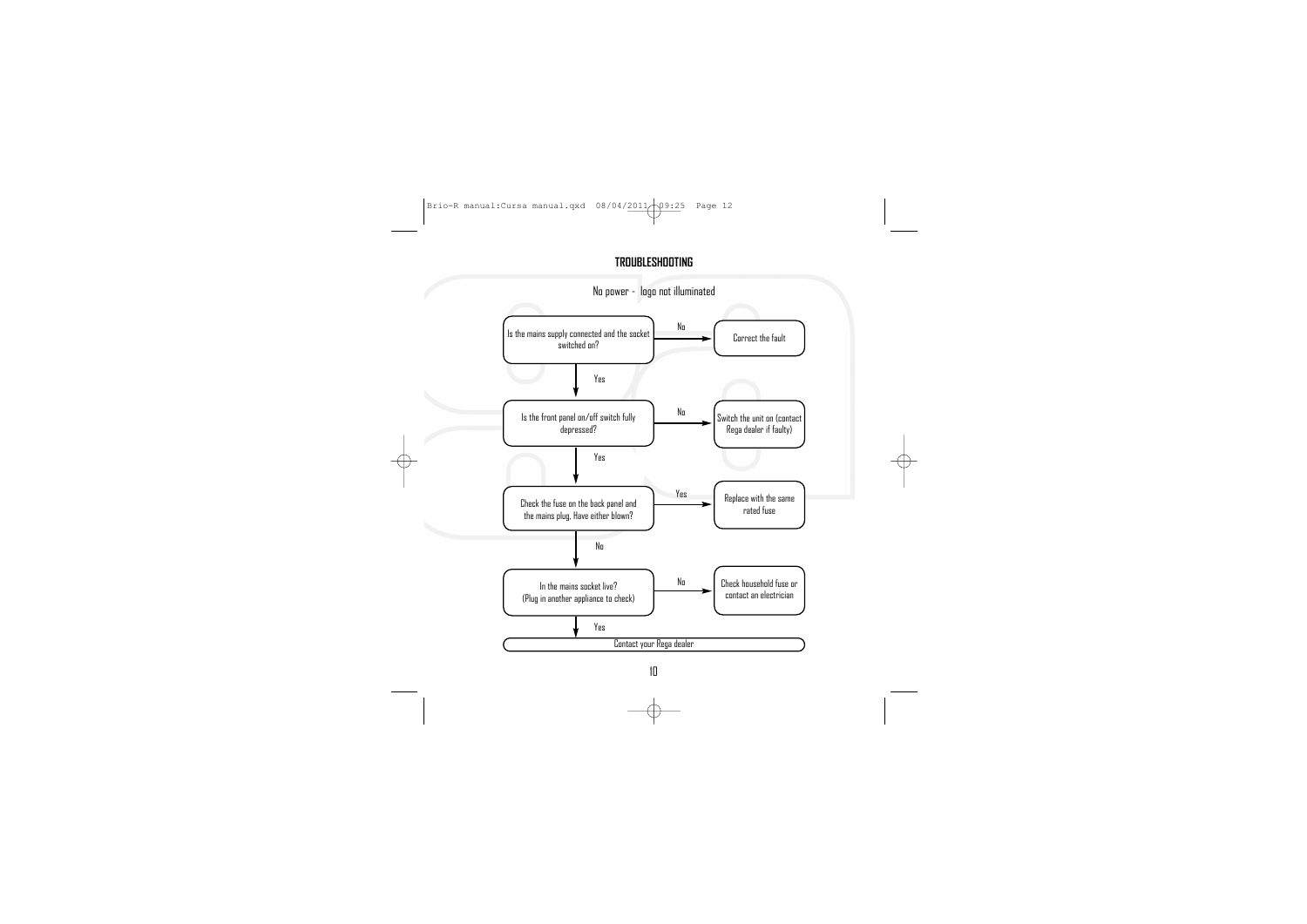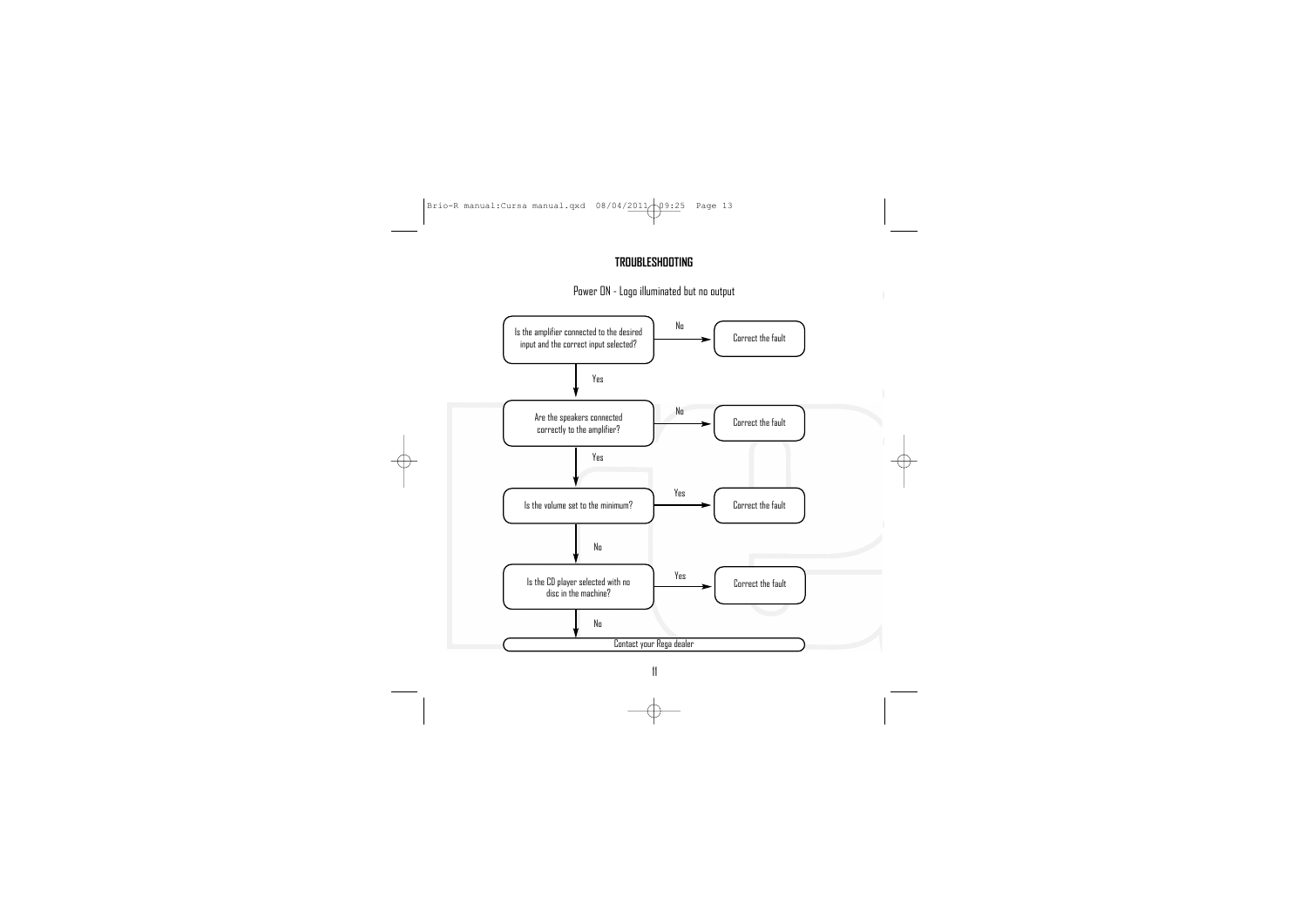

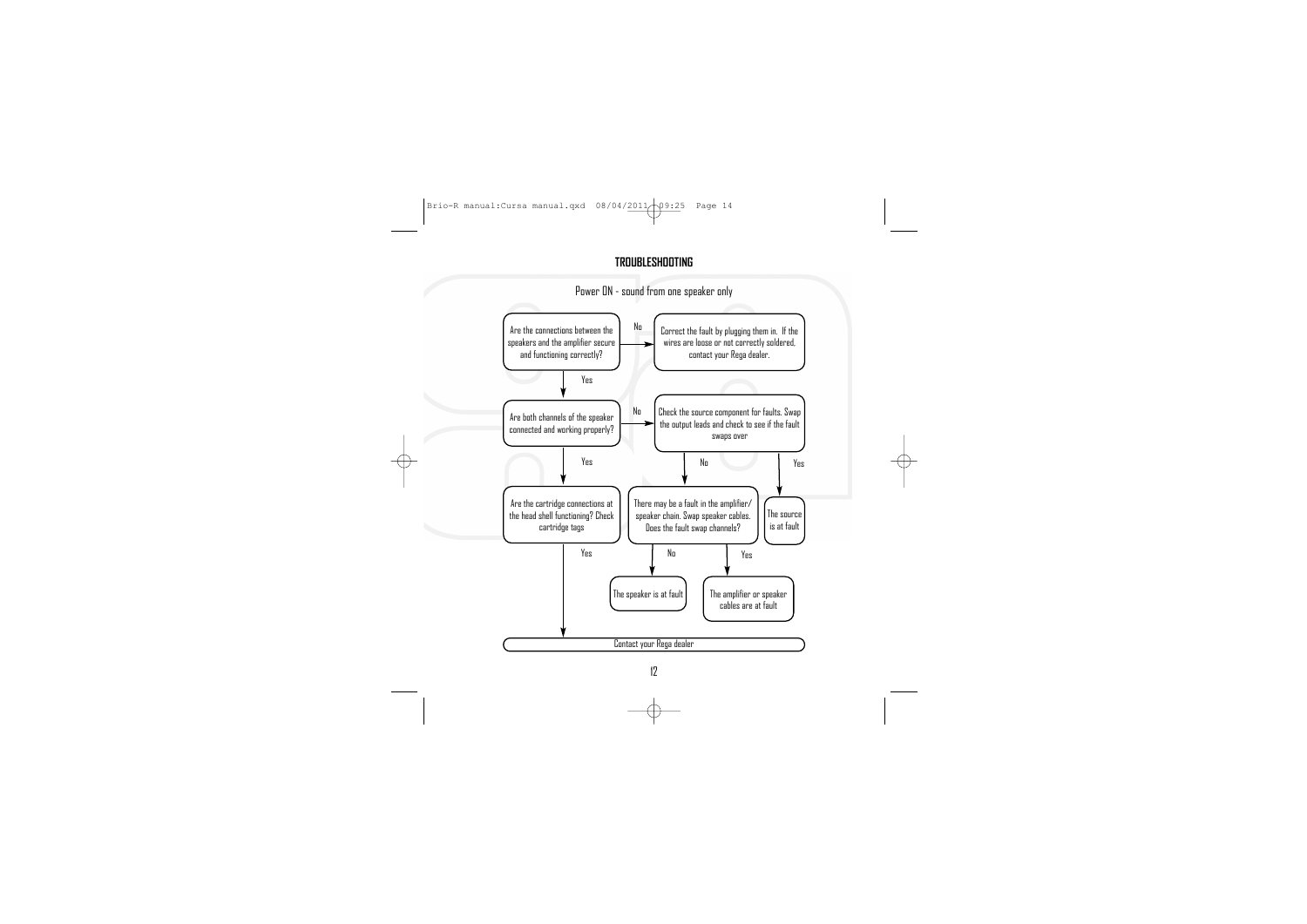

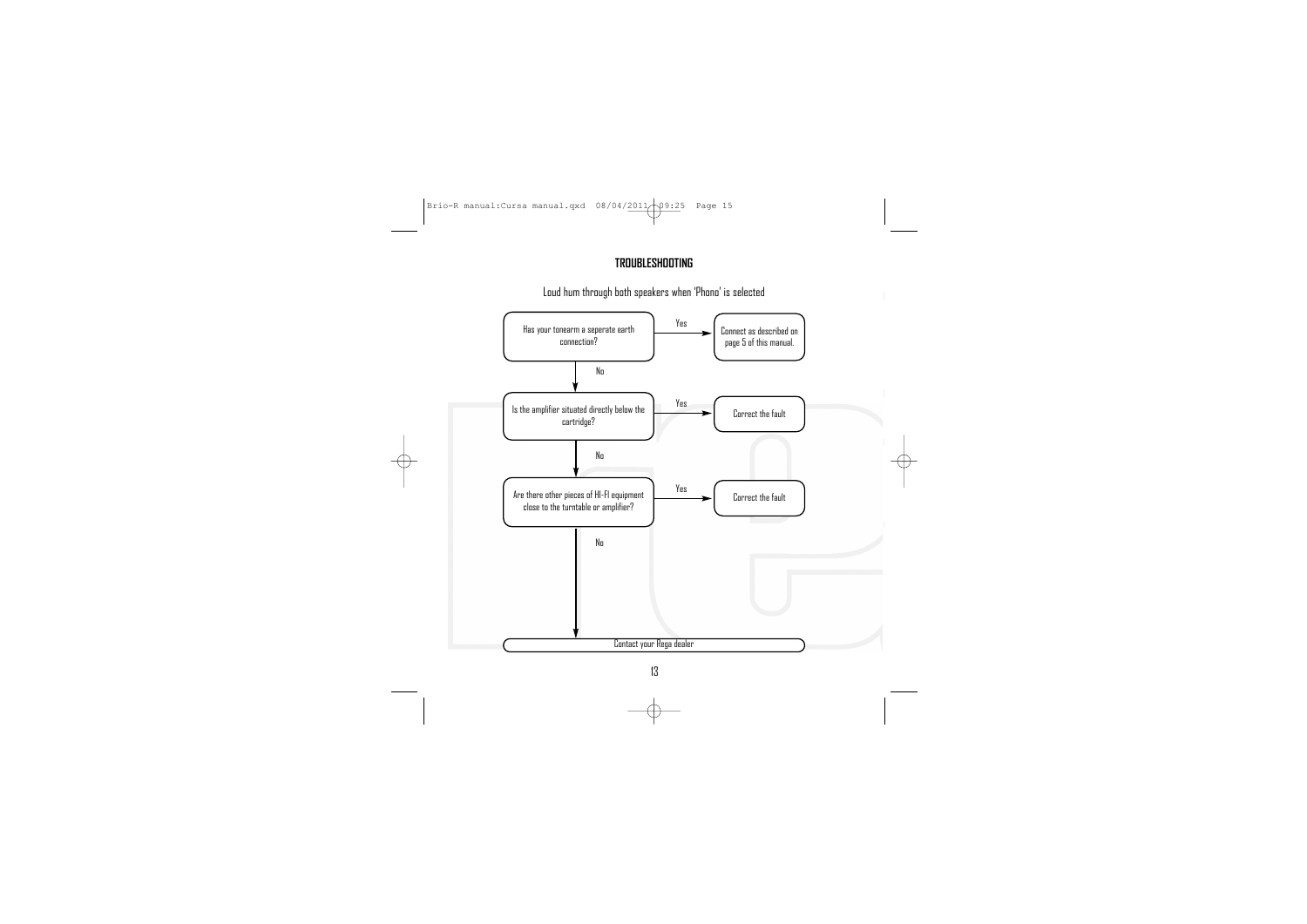Loud hum through both speakers when 'Phono' is selected

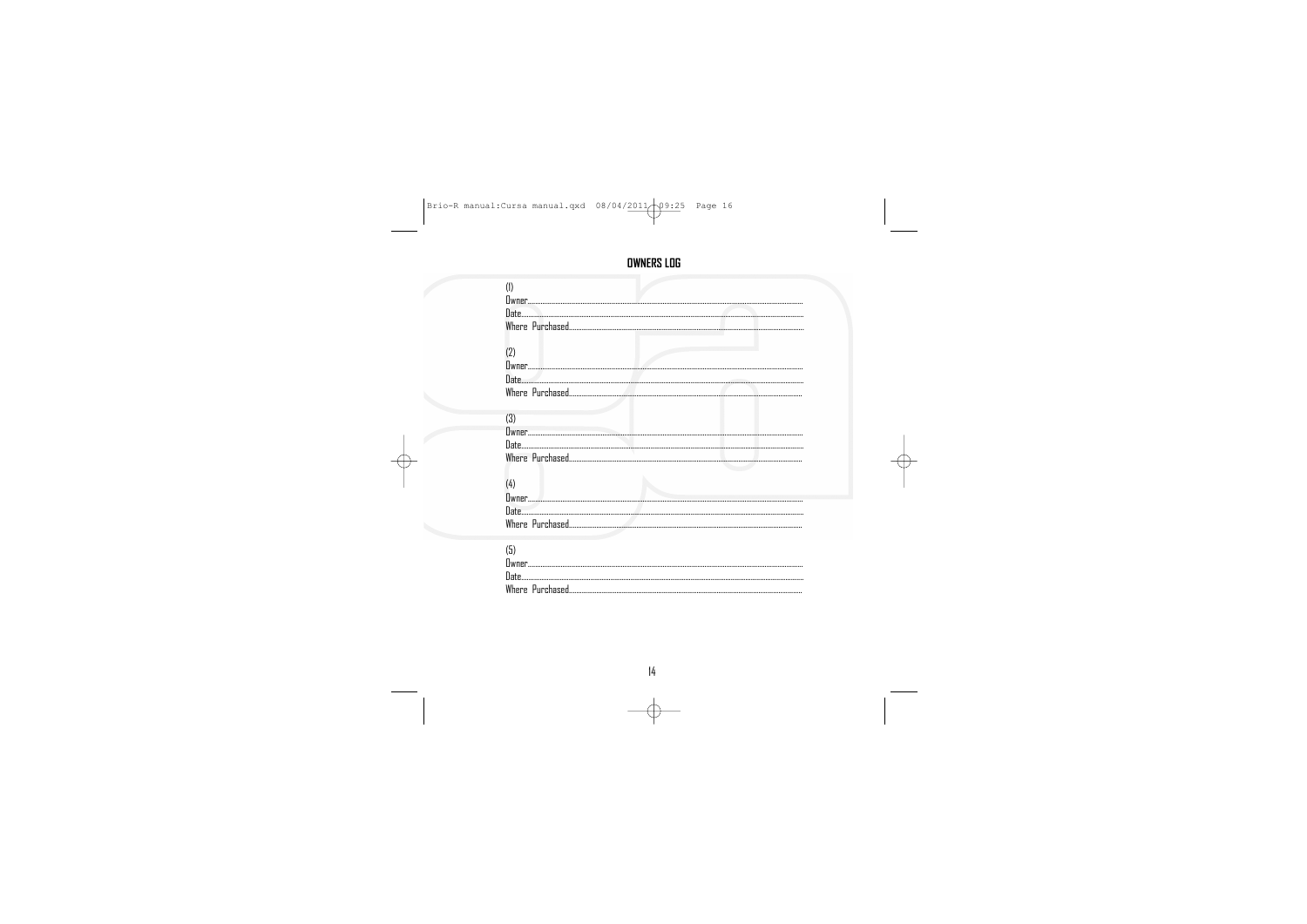## **OWNERS LOG**

| (2) |
|-----|
|     |
|     |
|     |
|     |
|     |
|     |
|     |
|     |
|     |
| (3) |
|     |
|     |
|     |
|     |
|     |
| (4) |
|     |
|     |
|     |
|     |
| (5) |
|     |
|     |